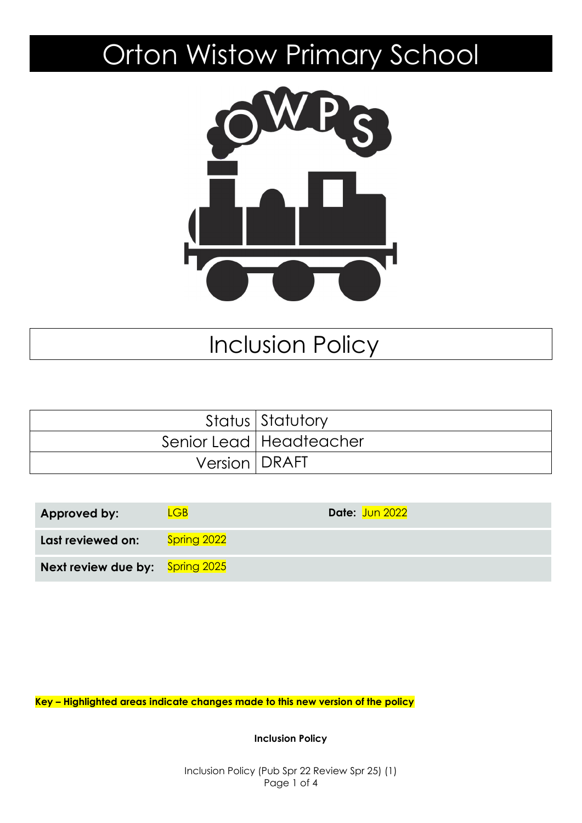# Orton Wistow Primary School



# Inclusion Policy

|                 | Status Statutory          |
|-----------------|---------------------------|
|                 | Senior Lead   Headteacher |
| Version   DRAFT |                           |

| Approved by:                           | LGB <sub>1</sub> | Date: Jun 2022 |
|----------------------------------------|------------------|----------------|
| Last reviewed on:                      | Spring 2022      |                |
| <b>Next review due by:</b> Spring 2025 |                  |                |

**Key – Highlighted areas indicate changes made to this new version of the policy**

**Inclusion Policy**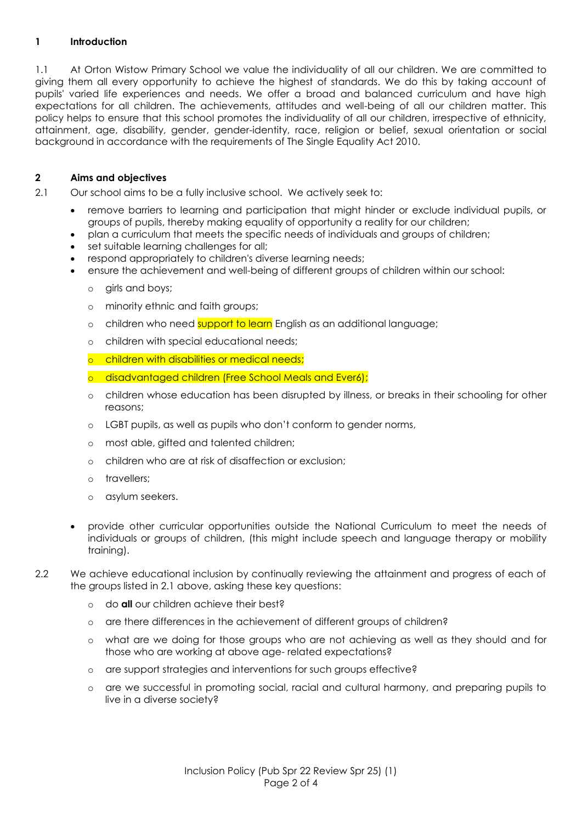# **1 Introduction**

1.1 At Orton Wistow Primary School we value the individuality of all our children. We are committed to giving them all every opportunity to achieve the highest of standards. We do this by taking account of pupils' varied life experiences and needs. We offer a broad and balanced curriculum and have high expectations for all children. The achievements, attitudes and well-being of all our children matter. This policy helps to ensure that this school promotes the individuality of all our children, irrespective of ethnicity, attainment, age, disability, gender, gender-identity, race, religion or belief, sexual orientation or social background in accordance with the requirements of The Single Equality Act 2010.

## **2 Aims and objectives**

2.1 Our school aims to be a fully inclusive school. We actively seek to:

- remove barriers to learning and participation that might hinder or exclude individual pupils, or groups of pupils, thereby making equality of opportunity a reality for our children;
- plan a curriculum that meets the specific needs of individuals and groups of children;
- set suitable learning challenges for all;
- respond appropriately to children's diverse learning needs;
	- ensure the achievement and well-being of different groups of children within our school:
		- o girls and boys;
		- o minority ethnic and faith groups;
		- o children who need support to learn English as an additional language;
		- o children with special educational needs;
		- o children with disabilities or medical needs;
		- o disadvantaged children (Free School Meals and Ever6);
		- o children whose education has been disrupted by illness, or breaks in their schooling for other reasons;
		- o LGBT pupils, as well as pupils who don't conform to gender norms,
		- o most able, gifted and talented children;
		- o children who are at risk of disaffection or exclusion;
		- o travellers;
		- o asylum seekers.
- provide other curricular opportunities outside the National Curriculum to meet the needs of individuals or groups of children, (this might include speech and language therapy or mobility training).
- 2.2 We achieve educational inclusion by continually reviewing the attainment and progress of each of the groups listed in 2.1 above, asking these key questions:
	- o do **all** our children achieve their best?
	- o are there differences in the achievement of different groups of children?
	- o what are we doing for those groups who are not achieving as well as they should and for those who are working at above age- related expectations?
	- o are support strategies and interventions for such groups effective?
	- o are we successful in promoting social, racial and cultural harmony, and preparing pupils to live in a diverse society?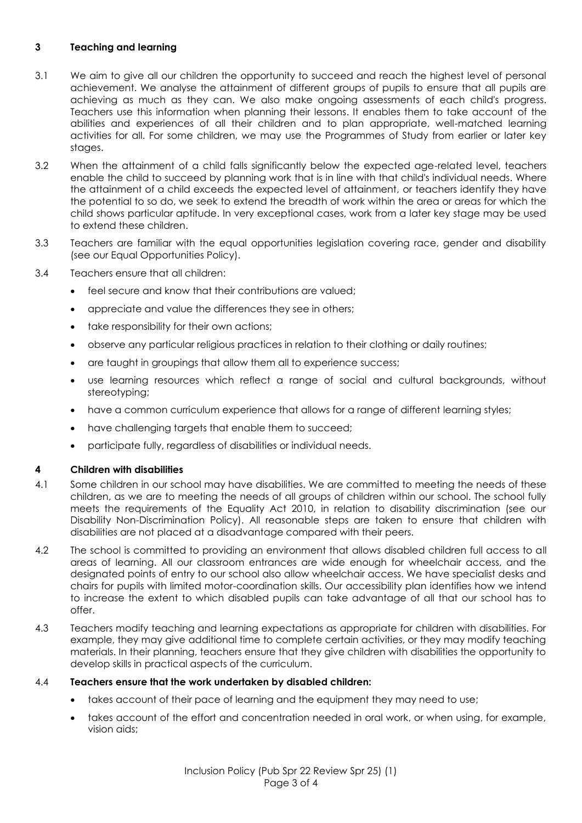## **3 Teaching and learning**

- 3.1 We aim to give all our children the opportunity to succeed and reach the highest level of personal achievement. We analyse the attainment of different groups of pupils to ensure that all pupils are achieving as much as they can. We also make ongoing assessments of each child's progress. Teachers use this information when planning their lessons. It enables them to take account of the abilities and experiences of all their children and to plan appropriate, well-matched learning activities for all. For some children, we may use the Programmes of Study from earlier or later key stages.
- 3.2 When the attainment of a child falls significantly below the expected age-related level, teachers enable the child to succeed by planning work that is in line with that child's individual needs. Where the attainment of a child exceeds the expected level of attainment, or teachers identify they have the potential to so do, we seek to extend the breadth of work within the area or areas for which the child shows particular aptitude. In very exceptional cases, work from a later key stage may be used to extend these children.
- 3.3 Teachers are familiar with the equal opportunities legislation covering race, gender and disability (see our Equal Opportunities Policy).
- 3.4 Teachers ensure that all children:
	- feel secure and know that their contributions are valued:
	- appreciate and value the differences they see in others;
	- take responsibility for their own actions;
	- observe any particular religious practices in relation to their clothing or daily routines;
	- are taught in groupings that allow them all to experience success;
	- use learning resources which reflect a range of social and cultural backgrounds, without stereotyping;
	- have a common curriculum experience that allows for a range of different learning styles;
	- have challenging targets that enable them to succeed;
	- participate fully, regardless of disabilities or individual needs.

#### **4 Children with disabilities**

- 4.1 Some children in our school may have disabilities. We are committed to meeting the needs of these children, as we are to meeting the needs of all groups of children within our school. The school fully meets the requirements of the Equality Act 2010, in relation to disability discrimination (see our Disability Non-Discrimination Policy). All reasonable steps are taken to ensure that children with disabilities are not placed at a disadvantage compared with their peers.
- 4.2 The school is committed to providing an environment that allows disabled children full access to all areas of learning. All our classroom entrances are wide enough for wheelchair access, and the designated points of entry to our school also allow wheelchair access. We have specialist desks and chairs for pupils with limited motor-coordination skills. Our accessibility plan identifies how we intend to increase the extent to which disabled pupils can take advantage of all that our school has to offer.
- 4.3 Teachers modify teaching and learning expectations as appropriate for children with disabilities. For example, they may give additional time to complete certain activities, or they may modify teaching materials. In their planning, teachers ensure that they give children with disabilities the opportunity to develop skills in practical aspects of the curriculum.

#### 4.4 **Teachers ensure that the work undertaken by disabled children:**

- takes account of their pace of learning and the equipment they may need to use;
- takes account of the effort and concentration needed in oral work, or when using, for example, vision aids;